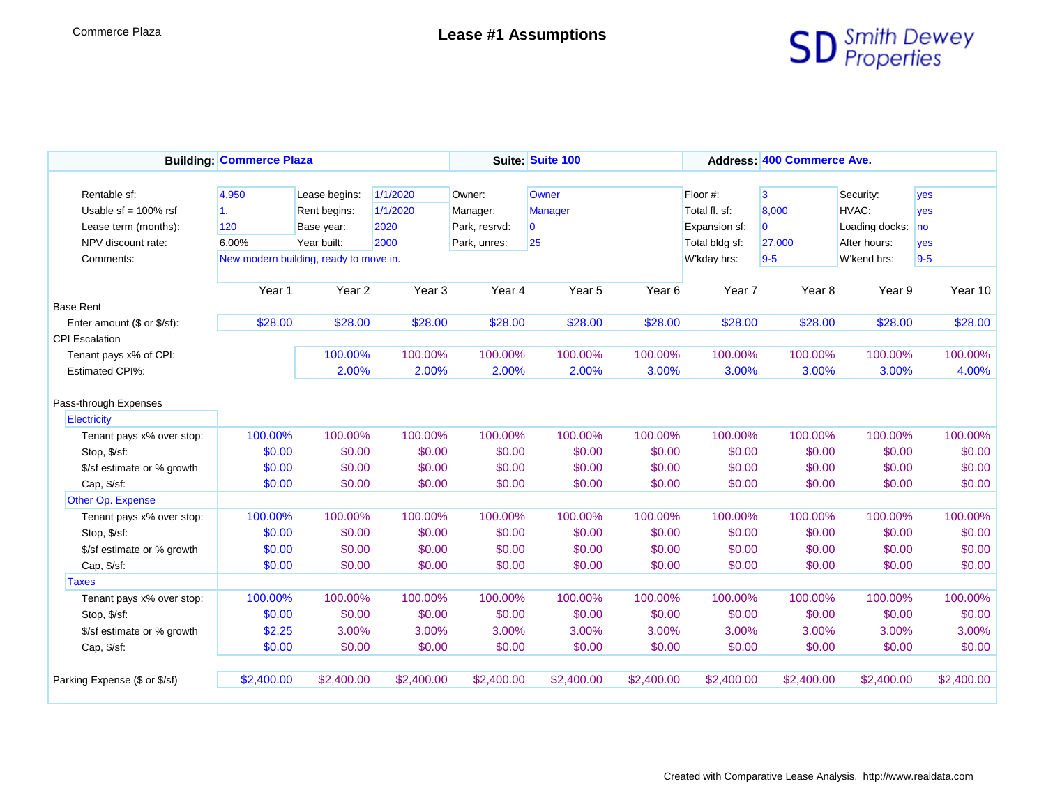

|                               | <b>Building: Commerce Plaza</b> |                                        |                   | Suite: Suite 100 |                         |            | Address: 400 Commerce Ave. |                         |                |            |  |
|-------------------------------|---------------------------------|----------------------------------------|-------------------|------------------|-------------------------|------------|----------------------------|-------------------------|----------------|------------|--|
|                               |                                 |                                        |                   |                  |                         |            |                            |                         |                |            |  |
| Rentable sf:                  | 4,950                           | Lease begins:                          | 1/1/2020          | Owner:           | Owner                   |            | Floor #:                   | 3                       | Security:      | yes        |  |
| Usable $sf = 100\%$ rsf       | 1.                              | Rent begins:                           | 1/1/2020          | Manager:         | <b>Manager</b>          |            | Total fl. sf:              | 8,000                   | HVAC:          | <b>ves</b> |  |
| Lease term (months):          | 120                             | Base year:                             | 2020              | Park, resrvd:    | $\overline{\mathbf{0}}$ |            | Expansion sf:              | $\overline{\mathbf{0}}$ | Loading docks: | no         |  |
| NPV discount rate:            | 6.00%                           | Year built:                            | 2000              | Park, unres:     | 25                      |            | Total bldg sf:             | 27,000                  | After hours:   | yes        |  |
| Comments:                     |                                 | New modern building, ready to move in. |                   |                  |                         |            | W'kday hrs:                | $9-5$                   | W'kend hrs:    | $9-5$      |  |
|                               |                                 |                                        |                   |                  |                         |            |                            |                         |                |            |  |
|                               | Year 1                          | Year <sub>2</sub>                      | Year <sub>3</sub> | Year 4           | Year 5                  | Year 6     | Year <sub>7</sub>          | Year <sub>8</sub>       | Year 9         | Year 10    |  |
| <b>Base Rent</b>              |                                 |                                        |                   |                  |                         |            |                            |                         |                |            |  |
| Enter amount (\$ or \$/sf):   | \$28.00                         | \$28.00                                | \$28.00           | \$28.00          | \$28.00                 | \$28.00    | \$28.00                    | \$28.00                 | \$28.00        | \$28.00    |  |
| <b>CPI Escalation</b>         |                                 |                                        |                   |                  |                         |            |                            |                         |                |            |  |
| Tenant pays x% of CPI:        |                                 | 100.00%                                | 100.00%           | 100.00%          | 100.00%                 | 100.00%    | 100.00%                    | 100.00%                 | 100.00%        | 100.00%    |  |
| <b>Estimated CPI%:</b>        |                                 | 2.00%                                  | 2.00%             | 2.00%            | 2.00%                   | 3.00%      | 3.00%                      | 3.00%                   | 3.00%          | 4.00%      |  |
|                               |                                 |                                        |                   |                  |                         |            |                            |                         |                |            |  |
| Pass-through Expenses         |                                 |                                        |                   |                  |                         |            |                            |                         |                |            |  |
| Electricity                   |                                 |                                        |                   |                  |                         |            |                            |                         |                |            |  |
| Tenant pays x% over stop:     | 100.00%                         | 100.00%                                | 100.00%           | 100.00%          | 100.00%                 | 100.00%    | 100.00%                    | 100.00%                 | 100.00%        | 100.00%    |  |
| Stop, \$/sf:                  | \$0.00                          | \$0.00                                 | \$0.00            | \$0.00           | \$0.00                  | \$0.00     | \$0.00                     | \$0.00                  | \$0.00         | \$0.00     |  |
| \$/sf estimate or % growth    | \$0.00                          | \$0.00                                 | \$0.00            | \$0.00           | \$0.00                  | \$0.00     | \$0.00                     | \$0.00                  | \$0.00         | \$0.00     |  |
| Cap, \$/sf:                   | \$0.00                          | \$0.00                                 | \$0.00            | \$0.00           | \$0.00                  | \$0.00     | \$0.00                     | \$0.00                  | \$0.00         | \$0.00     |  |
| Other Op. Expense             |                                 |                                        |                   |                  |                         |            |                            |                         |                |            |  |
| Tenant pays x% over stop:     | 100.00%                         | 100.00%                                | 100.00%           | 100.00%          | 100.00%                 | 100.00%    | 100.00%                    | 100.00%                 | 100.00%        | 100.00%    |  |
| Stop, \$/sf:                  | \$0.00                          | \$0.00                                 | \$0.00            | \$0.00           | \$0.00                  | \$0.00     | \$0.00                     | \$0.00                  | \$0.00         | \$0.00     |  |
| \$/sf estimate or % growth    | \$0.00                          | \$0.00                                 | \$0.00            | \$0.00           | \$0.00                  | \$0.00     | \$0.00                     | \$0.00                  | \$0.00         | \$0.00     |  |
| Cap, \$/sf:                   | \$0.00                          | \$0.00                                 | \$0.00            | \$0.00           | \$0.00                  | \$0.00     | \$0.00                     | \$0.00                  | \$0.00         | \$0.00     |  |
| <b>Taxes</b>                  |                                 |                                        |                   |                  |                         |            |                            |                         |                |            |  |
| Tenant pays x% over stop:     | 100.00%                         | 100.00%                                | 100.00%           | 100.00%          | 100.00%                 | 100.00%    | 100.00%                    | 100.00%                 | 100.00%        | 100.00%    |  |
| Stop, \$/sf:                  | \$0.00                          | \$0.00                                 | \$0.00            | \$0.00           | \$0.00                  | \$0.00     | \$0.00                     | \$0.00                  | \$0.00         | \$0.00     |  |
| \$/sf estimate or % growth    | \$2.25                          | 3.00%                                  | 3.00%             | 3.00%            | 3.00%                   | 3.00%      | 3.00%                      | 3.00%                   | 3.00%          | 3.00%      |  |
| Cap, \$/sf:                   | \$0.00                          | \$0.00                                 | \$0.00            | \$0.00           | \$0.00                  | \$0.00     | \$0.00                     | \$0.00                  | \$0.00         | \$0.00     |  |
|                               |                                 |                                        |                   |                  |                         |            |                            |                         |                |            |  |
| Parking Expense (\$ or \$/sf) | \$2,400.00                      | \$2,400.00                             | \$2,400.00        | \$2,400.00       | \$2,400.00              | \$2,400.00 | \$2,400.00                 | \$2,400.00              | \$2,400.00     | \$2,400.00 |  |
|                               |                                 |                                        |                   |                  |                         |            |                            |                         |                |            |  |